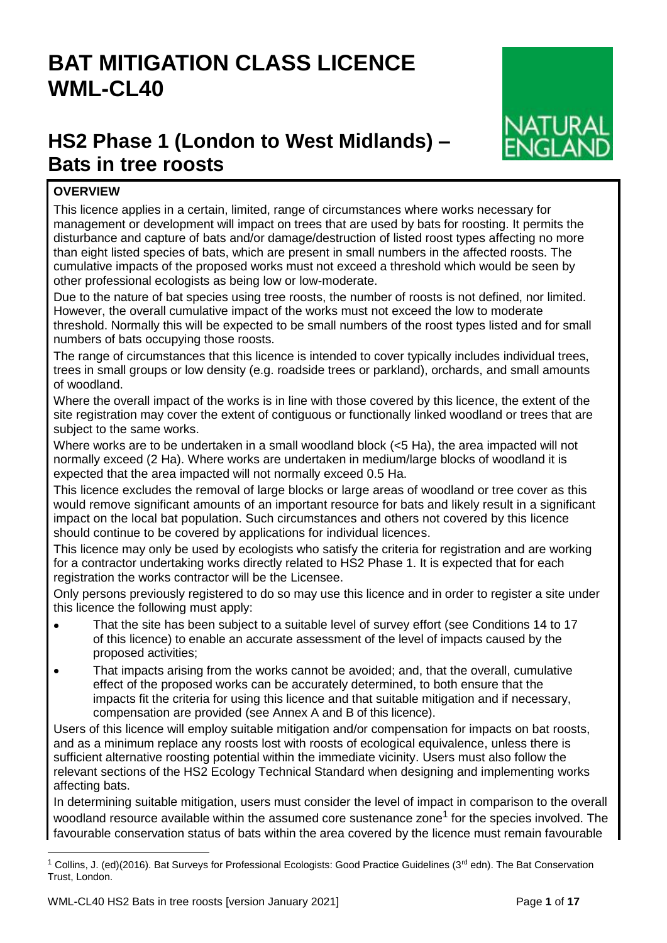# **BAT MITIGATION CLASS LICENCE WML-CL40**

# **HS2 Phase 1 (London to West Midlands) – Bats in tree roosts**



# **OVERVIEW**

This licence applies in a certain, limited, range of circumstances where works necessary for management or development will impact on trees that are used by bats for roosting. It permits the disturbance and capture of bats and/or damage/destruction of listed roost types affecting no more than eight listed species of bats, which are present in small numbers in the affected roosts. The cumulative impacts of the proposed works must not exceed a threshold which would be seen by other professional ecologists as being low or low-moderate.

Due to the nature of bat species using tree roosts, the number of roosts is not defined, nor limited. However, the overall cumulative impact of the works must not exceed the low to moderate threshold. Normally this will be expected to be small numbers of the roost types listed and for small numbers of bats occupying those roosts.

The range of circumstances that this licence is intended to cover typically includes individual trees, trees in small groups or low density (e.g. roadside trees or parkland), orchards, and small amounts of woodland.

Where the overall impact of the works is in line with those covered by this licence, the extent of the site registration may cover the extent of contiguous or functionally linked woodland or trees that are subject to the same works.

Where works are to be undertaken in a small woodland block (<5 Ha), the area impacted will not normally exceed (2 Ha). Where works are undertaken in medium/large blocks of woodland it is expected that the area impacted will not normally exceed 0.5 Ha.

This licence excludes the removal of large blocks or large areas of woodland or tree cover as this would remove significant amounts of an important resource for bats and likely result in a significant impact on the local bat population. Such circumstances and others not covered by this licence should continue to be covered by applications for individual licences.

This licence may only be used by ecologists who satisfy the criteria for registration and are working for a contractor undertaking works directly related to HS2 Phase 1. It is expected that for each registration the works contractor will be the Licensee.

Only persons previously registered to do so may use this licence and in order to register a site under this licence the following must apply:

- That the site has been subject to a suitable level of survey effort (see Conditions 14 to 17 of this licence) to enable an accurate assessment of the level of impacts caused by the proposed activities;
- That impacts arising from the works cannot be avoided; and, that the overall, cumulative effect of the proposed works can be accurately determined, to both ensure that the impacts fit the criteria for using this licence and that suitable mitigation and if necessary, compensation are provided (see Annex A and B of this licence).

Users of this licence will employ suitable mitigation and/or compensation for impacts on bat roosts, and as a minimum replace any roosts lost with roosts of ecological equivalence, unless there is sufficient alternative roosting potential within the immediate vicinity. Users must also follow the relevant sections of the HS2 Ecology Technical Standard when designing and implementing works affecting bats.

In determining suitable mitigation, users must consider the level of impact in comparison to the overall woodland resource available within the assumed core sustenance zone<sup>1</sup> for the species involved. The favourable conservation status of bats within the area covered by the licence must remain favourable

l

Collins, J. (ed)(2016). Bat Surveys for Professional Ecologists: Good Practice Guidelines (3<sup>rd</sup> edn). The Bat Conservation Trust, London.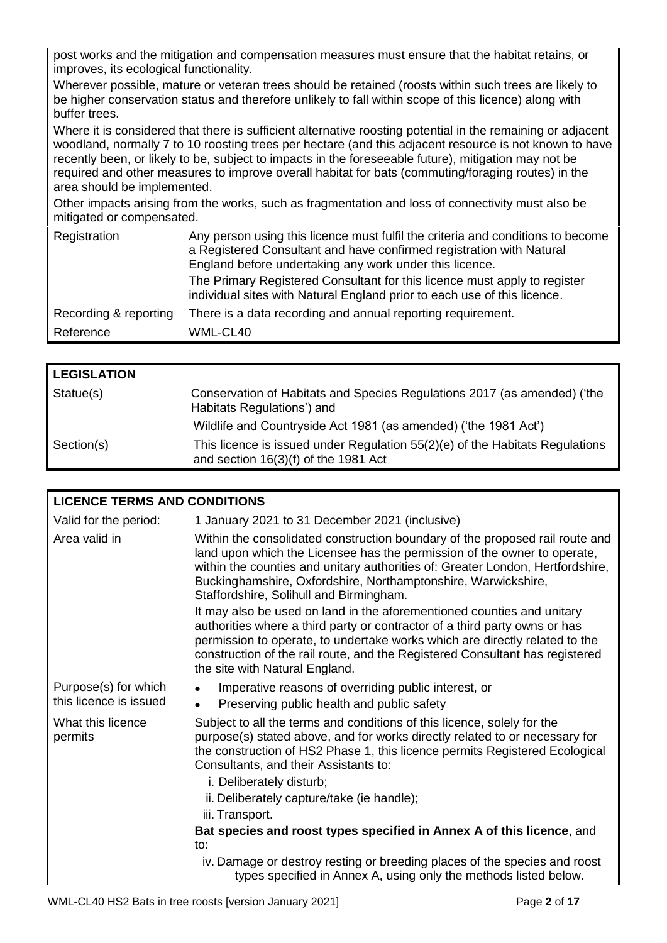post works and the mitigation and compensation measures must ensure that the habitat retains, or improves, its ecological functionality.

Wherever possible, mature or veteran trees should be retained (roosts within such trees are likely to be higher conservation status and therefore unlikely to fall within scope of this licence) along with buffer trees.

Where it is considered that there is sufficient alternative roosting potential in the remaining or adjacent woodland, normally 7 to 10 roosting trees per hectare (and this adjacent resource is not known to have recently been, or likely to be, subject to impacts in the foreseeable future), mitigation may not be required and other measures to improve overall habitat for bats (commuting/foraging routes) in the area should be implemented.

Other impacts arising from the works, such as fragmentation and loss of connectivity must also be mitigated or compensated.

| Registration          | Any person using this licence must fulfil the criteria and conditions to become<br>a Registered Consultant and have confirmed registration with Natural<br>England before undertaking any work under this licence.<br>The Primary Registered Consultant for this licence must apply to register<br>individual sites with Natural England prior to each use of this licence. |
|-----------------------|-----------------------------------------------------------------------------------------------------------------------------------------------------------------------------------------------------------------------------------------------------------------------------------------------------------------------------------------------------------------------------|
| Recording & reporting | There is a data recording and annual reporting requirement.                                                                                                                                                                                                                                                                                                                 |
| Reference             | WML-CL40                                                                                                                                                                                                                                                                                                                                                                    |
|                       |                                                                                                                                                                                                                                                                                                                                                                             |

| <b>LEGISLATION</b> |                                                                                                                          |
|--------------------|--------------------------------------------------------------------------------------------------------------------------|
| Statue(s)          | Conservation of Habitats and Species Regulations 2017 (as amended) ('the<br>Habitats Regulations') and                   |
|                    | Wildlife and Countryside Act 1981 (as amended) ('the 1981 Act')                                                          |
| Section(s)         | This licence is issued under Regulation $55(2)(e)$ of the Habitats Regulations<br>and section $16(3)(f)$ of the 1981 Act |

| <b>LICENCE TERMS AND CONDITIONS</b>            |                                                                                                                                                                                                                                                                                                                                                                                                                                                                                                                                                                                                                                                                               |                             |
|------------------------------------------------|-------------------------------------------------------------------------------------------------------------------------------------------------------------------------------------------------------------------------------------------------------------------------------------------------------------------------------------------------------------------------------------------------------------------------------------------------------------------------------------------------------------------------------------------------------------------------------------------------------------------------------------------------------------------------------|-----------------------------|
| Valid for the period:                          | 1 January 2021 to 31 December 2021 (inclusive)                                                                                                                                                                                                                                                                                                                                                                                                                                                                                                                                                                                                                                |                             |
| Area valid in                                  | Within the consolidated construction boundary of the proposed rail route and<br>land upon which the Licensee has the permission of the owner to operate,<br>within the counties and unitary authorities of: Greater London, Hertfordshire,<br>Buckinghamshire, Oxfordshire, Northamptonshire, Warwickshire,<br>Staffordshire, Solihull and Birmingham.<br>It may also be used on land in the aforementioned counties and unitary<br>authorities where a third party or contractor of a third party owns or has<br>permission to operate, to undertake works which are directly related to the<br>construction of the rail route, and the Registered Consultant has registered |                             |
|                                                | the site with Natural England.                                                                                                                                                                                                                                                                                                                                                                                                                                                                                                                                                                                                                                                |                             |
| Purpose(s) for which<br>this licence is issued | Imperative reasons of overriding public interest, or<br>$\bullet$<br>Preserving public health and public safety<br>$\bullet$                                                                                                                                                                                                                                                                                                                                                                                                                                                                                                                                                  |                             |
| What this licence<br>permits                   | Subject to all the terms and conditions of this licence, solely for the<br>purpose(s) stated above, and for works directly related to or necessary for<br>the construction of HS2 Phase 1, this licence permits Registered Ecological<br>Consultants, and their Assistants to:<br>i. Deliberately disturb;<br>ii. Deliberately capture/take (ie handle);<br>iii. Transport.                                                                                                                                                                                                                                                                                                   |                             |
|                                                | Bat species and roost types specified in Annex A of this licence, and                                                                                                                                                                                                                                                                                                                                                                                                                                                                                                                                                                                                         |                             |
|                                                | to:                                                                                                                                                                                                                                                                                                                                                                                                                                                                                                                                                                                                                                                                           |                             |
|                                                | iv. Damage or destroy resting or breeding places of the species and roost<br>types specified in Annex A, using only the methods listed below.                                                                                                                                                                                                                                                                                                                                                                                                                                                                                                                                 |                             |
|                                                | $MML$ $\cap$ $10$ $\cap$ $\cap$ $21$                                                                                                                                                                                                                                                                                                                                                                                                                                                                                                                                                                                                                                          | $D_{0.22}$ $\Omega$ of $47$ |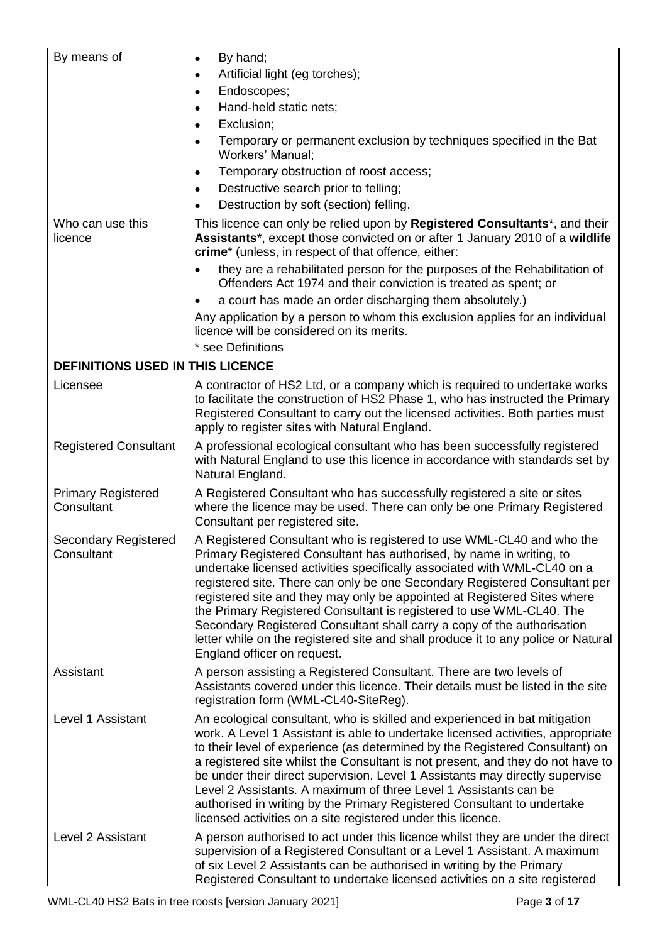| By means of                               | By hand;<br>$\bullet$<br>Artificial light (eg torches);<br>$\bullet$<br>Endoscopes;<br>$\bullet$<br>Hand-held static nets;<br>$\bullet$<br>Exclusion;<br>$\bullet$<br>Temporary or permanent exclusion by techniques specified in the Bat<br>$\bullet$<br><b>Workers' Manual:</b><br>Temporary obstruction of roost access;<br>٠<br>Destructive search prior to felling;<br>$\bullet$<br>Destruction by soft (section) felling.                                                                                                                                                                                                                            |
|-------------------------------------------|------------------------------------------------------------------------------------------------------------------------------------------------------------------------------------------------------------------------------------------------------------------------------------------------------------------------------------------------------------------------------------------------------------------------------------------------------------------------------------------------------------------------------------------------------------------------------------------------------------------------------------------------------------|
| Who can use this<br>licence               | This licence can only be relied upon by <b>Registered Consultants</b> <sup>*</sup> , and their<br>Assistants*, except those convicted on or after 1 January 2010 of a wildlife<br>crime* (unless, in respect of that offence, either:<br>they are a rehabilitated person for the purposes of the Rehabilitation of<br>$\bullet$<br>Offenders Act 1974 and their conviction is treated as spent; or                                                                                                                                                                                                                                                         |
|                                           | a court has made an order discharging them absolutely.)<br>$\bullet$<br>Any application by a person to whom this exclusion applies for an individual<br>licence will be considered on its merits.<br>* see Definitions                                                                                                                                                                                                                                                                                                                                                                                                                                     |
| <b>DEFINITIONS USED IN THIS LICENCE</b>   |                                                                                                                                                                                                                                                                                                                                                                                                                                                                                                                                                                                                                                                            |
| Licensee                                  | A contractor of HS2 Ltd, or a company which is required to undertake works<br>to facilitate the construction of HS2 Phase 1, who has instructed the Primary<br>Registered Consultant to carry out the licensed activities. Both parties must<br>apply to register sites with Natural England.                                                                                                                                                                                                                                                                                                                                                              |
| <b>Registered Consultant</b>              | A professional ecological consultant who has been successfully registered<br>with Natural England to use this licence in accordance with standards set by<br>Natural England.                                                                                                                                                                                                                                                                                                                                                                                                                                                                              |
| <b>Primary Registered</b><br>Consultant   | A Registered Consultant who has successfully registered a site or sites<br>where the licence may be used. There can only be one Primary Registered<br>Consultant per registered site.                                                                                                                                                                                                                                                                                                                                                                                                                                                                      |
| <b>Secondary Registered</b><br>Consultant | A Registered Consultant who is registered to use WML-CL40 and who the<br>Primary Registered Consultant has authorised, by name in writing, to<br>undertake licensed activities specifically associated with WML-CL40 on a<br>registered site. There can only be one Secondary Registered Consultant per<br>registered site and they may only be appointed at Registered Sites where<br>the Primary Registered Consultant is registered to use WML-CL40. The<br>Secondary Registered Consultant shall carry a copy of the authorisation<br>letter while on the registered site and shall produce it to any police or Natural<br>England officer on request. |
| Assistant                                 | A person assisting a Registered Consultant. There are two levels of<br>Assistants covered under this licence. Their details must be listed in the site<br>registration form (WML-CL40-SiteReg).                                                                                                                                                                                                                                                                                                                                                                                                                                                            |
| Level 1 Assistant                         | An ecological consultant, who is skilled and experienced in bat mitigation<br>work. A Level 1 Assistant is able to undertake licensed activities, appropriate<br>to their level of experience (as determined by the Registered Consultant) on<br>a registered site whilst the Consultant is not present, and they do not have to<br>be under their direct supervision. Level 1 Assistants may directly supervise<br>Level 2 Assistants. A maximum of three Level 1 Assistants can be<br>authorised in writing by the Primary Registered Consultant to undertake<br>licensed activities on a site registered under this licence.                            |
| Level 2 Assistant                         | A person authorised to act under this licence whilst they are under the direct<br>supervision of a Registered Consultant or a Level 1 Assistant. A maximum<br>of six Level 2 Assistants can be authorised in writing by the Primary<br>Registered Consultant to undertake licensed activities on a site registered                                                                                                                                                                                                                                                                                                                                         |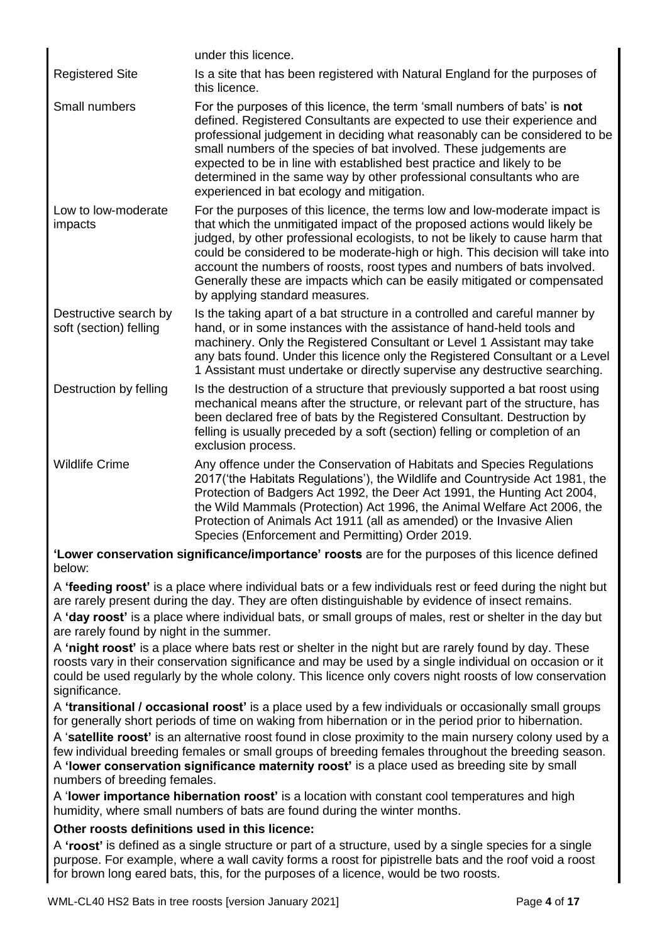|                                                 | under this licence.                                                                                                                                                                                                                                                                                                                                                                                                                                                                                                 |
|-------------------------------------------------|---------------------------------------------------------------------------------------------------------------------------------------------------------------------------------------------------------------------------------------------------------------------------------------------------------------------------------------------------------------------------------------------------------------------------------------------------------------------------------------------------------------------|
| <b>Registered Site</b>                          | Is a site that has been registered with Natural England for the purposes of<br>this licence.                                                                                                                                                                                                                                                                                                                                                                                                                        |
| Small numbers                                   | For the purposes of this licence, the term 'small numbers of bats' is not<br>defined. Registered Consultants are expected to use their experience and<br>professional judgement in deciding what reasonably can be considered to be<br>small numbers of the species of bat involved. These judgements are<br>expected to be in line with established best practice and likely to be<br>determined in the same way by other professional consultants who are<br>experienced in bat ecology and mitigation.           |
| Low to low-moderate<br>impacts                  | For the purposes of this licence, the terms low and low-moderate impact is<br>that which the unmitigated impact of the proposed actions would likely be<br>judged, by other professional ecologists, to not be likely to cause harm that<br>could be considered to be moderate-high or high. This decision will take into<br>account the numbers of roosts, roost types and numbers of bats involved.<br>Generally these are impacts which can be easily mitigated or compensated<br>by applying standard measures. |
| Destructive search by<br>soft (section) felling | Is the taking apart of a bat structure in a controlled and careful manner by<br>hand, or in some instances with the assistance of hand-held tools and<br>machinery. Only the Registered Consultant or Level 1 Assistant may take<br>any bats found. Under this licence only the Registered Consultant or a Level<br>1 Assistant must undertake or directly supervise any destructive searching.                                                                                                                     |
| Destruction by felling                          | Is the destruction of a structure that previously supported a bat roost using<br>mechanical means after the structure, or relevant part of the structure, has<br>been declared free of bats by the Registered Consultant. Destruction by<br>felling is usually preceded by a soft (section) felling or completion of an<br>exclusion process.                                                                                                                                                                       |
| <b>Wildlife Crime</b>                           | Any offence under the Conservation of Habitats and Species Regulations<br>2017 ('the Habitats Regulations'), the Wildlife and Countryside Act 1981, the<br>Protection of Badgers Act 1992, the Deer Act 1991, the Hunting Act 2004,<br>the Wild Mammals (Protection) Act 1996, the Animal Welfare Act 2006, the<br>Protection of Animals Act 1911 (all as amended) or the Invasive Alien<br>Species (Enforcement and Permitting) Order 2019.                                                                        |
|                                                 | the contract of the contract of the contract of the contract of the contract of the contract of the contract of                                                                                                                                                                                                                                                                                                                                                                                                     |

**'Lower conservation significance/importance' roosts** are for the purposes of this licence defined below:

A **'feeding roost'** is a place where individual bats or a few individuals rest or feed during the night but are rarely present during the day. They are often distinguishable by evidence of insect remains. A **'day roost'** is a place where individual bats, or small groups of males, rest or shelter in the day but are rarely found by night in the summer.

A **'night roost'** is a place where bats rest or shelter in the night but are rarely found by day. These roosts vary in their conservation significance and may be used by a single individual on occasion or it could be used regularly by the whole colony. This licence only covers night roosts of low conservation significance.

A **'transitional / occasional roost'** is a place used by a few individuals or occasionally small groups for generally short periods of time on waking from hibernation or in the period prior to hibernation. A '**satellite roost'** is an alternative roost found in close proximity to the main nursery colony used by a few individual breeding females or small groups of breeding females throughout the breeding season. A **'lower conservation significance maternity roost'** is a place used as breeding site by small numbers of breeding females.

A '**lower importance hibernation roost'** is a location with constant cool temperatures and high humidity, where small numbers of bats are found during the winter months.

# **Other roosts definitions used in this licence:**

A **'roost'** is defined as a single structure or part of a structure, used by a single species for a single purpose. For example, where a wall cavity forms a roost for pipistrelle bats and the roof void a roost for brown long eared bats, this, for the purposes of a licence, would be two roosts.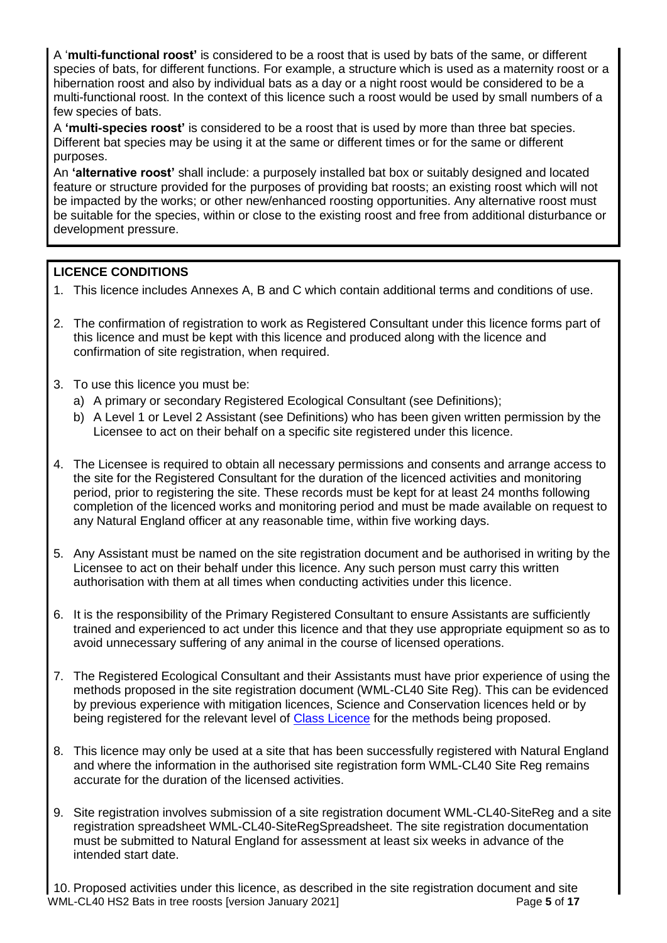A '**multi-functional roost'** is considered to be a roost that is used by bats of the same, or different species of bats, for different functions. For example, a structure which is used as a maternity roost or a hibernation roost and also by individual bats as a day or a night roost would be considered to be a multi-functional roost. In the context of this licence such a roost would be used by small numbers of a few species of bats.

A **'multi-species roost'** is considered to be a roost that is used by more than three bat species. Different bat species may be using it at the same or different times or for the same or different purposes.

An **'alternative roost'** shall include: a purposely installed bat box or suitably designed and located feature or structure provided for the purposes of providing bat roosts; an existing roost which will not be impacted by the works; or other new/enhanced roosting opportunities. Any alternative roost must be suitable for the species, within or close to the existing roost and free from additional disturbance or development pressure.

# **LICENCE CONDITIONS**

- 1. This licence includes Annexes A, B and C which contain additional terms and conditions of use.
- 2. The confirmation of registration to work as Registered Consultant under this licence forms part of this licence and must be kept with this licence and produced along with the licence and confirmation of site registration, when required.
- 3. To use this licence you must be:
	- a) A primary or secondary Registered Ecological Consultant (see Definitions);
	- b) A Level 1 or Level 2 Assistant (see Definitions) who has been given written permission by the Licensee to act on their behalf on a specific site registered under this licence.
- 4. The Licensee is required to obtain all necessary permissions and consents and arrange access to the site for the Registered Consultant for the duration of the licenced activities and monitoring period, prior to registering the site. These records must be kept for at least 24 months following completion of the licenced works and monitoring period and must be made available on request to any Natural England officer at any reasonable time, within five working days.
- 5. Any Assistant must be named on the site registration document and be authorised in writing by the Licensee to act on their behalf under this licence. Any such person must carry this written authorisation with them at all times when conducting activities under this licence.
- 6. It is the responsibility of the Primary Registered Consultant to ensure Assistants are sufficiently trained and experienced to act under this licence and that they use appropriate equipment so as to avoid unnecessary suffering of any animal in the course of licensed operations.
- 7. The Registered Ecological Consultant and their Assistants must have prior experience of using the methods proposed in the site registration document (WML-CL40 Site Reg). This can be evidenced by previous experience with mitigation licences, Science and Conservation licences held or by being registered for the relevant level of [Class Licence](https://www.gov.uk/government/collections/class-licences-for-wildlife-management) for the methods being proposed.
- 8. This licence may only be used at a site that has been successfully registered with Natural England and where the information in the authorised site registration form WML-CL40 Site Reg remains accurate for the duration of the licensed activities.
- 9. Site registration involves submission of a site registration document WML-CL40-SiteReg and a site registration spreadsheet WML-CL40-SiteRegSpreadsheet. The site registration documentation must be submitted to Natural England for assessment at least six weeks in advance of the intended start date.

WML-CL40 HS2 Bats in tree roosts [version January 2021] **Page 5** of 17 10. Proposed activities under this licence, as described in the site registration document and site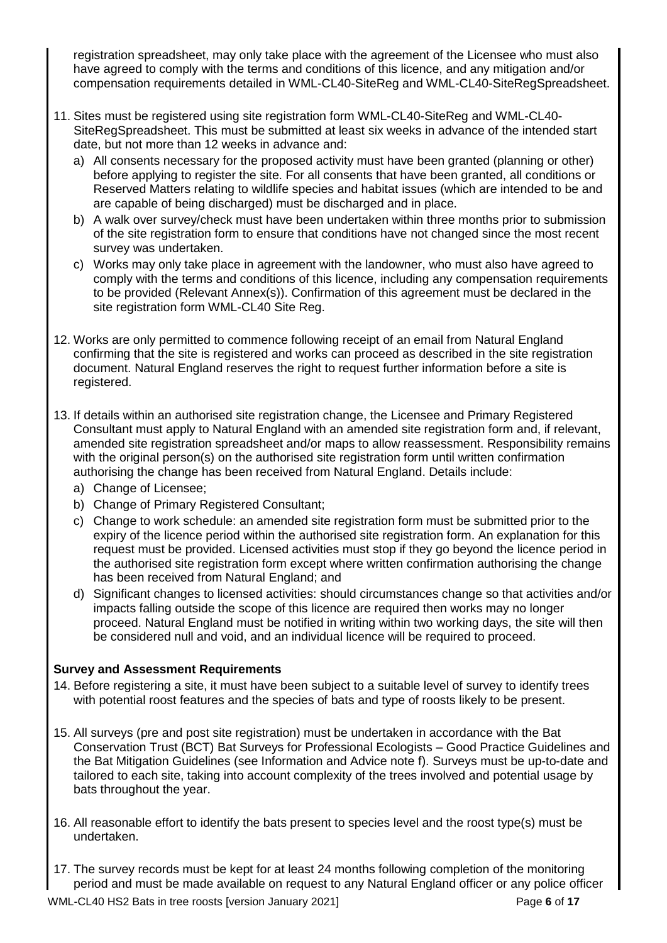registration spreadsheet, may only take place with the agreement of the Licensee who must also have agreed to comply with the terms and conditions of this licence, and any mitigation and/or compensation requirements detailed in WML-CL40-SiteReg and WML-CL40-SiteRegSpreadsheet.

- 11. Sites must be registered using site registration form WML-CL40-SiteReg and WML-CL40- SiteRegSpreadsheet. This must be submitted at least six weeks in advance of the intended start date, but not more than 12 weeks in advance and:
	- a) All consents necessary for the proposed activity must have been granted (planning or other) before applying to register the site. For all consents that have been granted, all conditions or Reserved Matters relating to wildlife species and habitat issues (which are intended to be and are capable of being discharged) must be discharged and in place.
	- b) A walk over survey/check must have been undertaken within three months prior to submission of the site registration form to ensure that conditions have not changed since the most recent survey was undertaken.
	- c) Works may only take place in agreement with the landowner, who must also have agreed to comply with the terms and conditions of this licence, including any compensation requirements to be provided (Relevant Annex(s)). Confirmation of this agreement must be declared in the site registration form WML-CL40 Site Reg.
- 12. Works are only permitted to commence following receipt of an email from Natural England confirming that the site is registered and works can proceed as described in the site registration document. Natural England reserves the right to request further information before a site is registered.
- 13. If details within an authorised site registration change, the Licensee and Primary Registered Consultant must apply to Natural England with an amended site registration form and, if relevant, amended site registration spreadsheet and/or maps to allow reassessment. Responsibility remains with the original person(s) on the authorised site registration form until written confirmation authorising the change has been received from Natural England. Details include:
	- a) Change of Licensee;
	- b) Change of Primary Registered Consultant;
	- c) Change to work schedule: an amended site registration form must be submitted prior to the expiry of the licence period within the authorised site registration form. An explanation for this request must be provided. Licensed activities must stop if they go beyond the licence period in the authorised site registration form except where written confirmation authorising the change has been received from Natural England; and
	- d) Significant changes to licensed activities: should circumstances change so that activities and/or impacts falling outside the scope of this licence are required then works may no longer proceed. Natural England must be notified in writing within two working days, the site will then be considered null and void, and an individual licence will be required to proceed.

# **Survey and Assessment Requirements**

- 14. Before registering a site, it must have been subject to a suitable level of survey to identify trees with potential roost features and the species of bats and type of roosts likely to be present.
- 15. All surveys (pre and post site registration) must be undertaken in accordance with the Bat Conservation Trust (BCT) Bat Surveys for Professional Ecologists – Good Practice Guidelines and the Bat Mitigation Guidelines (see Information and Advice note f). Surveys must be up-to-date and tailored to each site, taking into account complexity of the trees involved and potential usage by bats throughout the year.
- 16. All reasonable effort to identify the bats present to species level and the roost type(s) must be undertaken.
- 17. The survey records must be kept for at least 24 months following completion of the monitoring period and must be made available on request to any Natural England officer or any police officer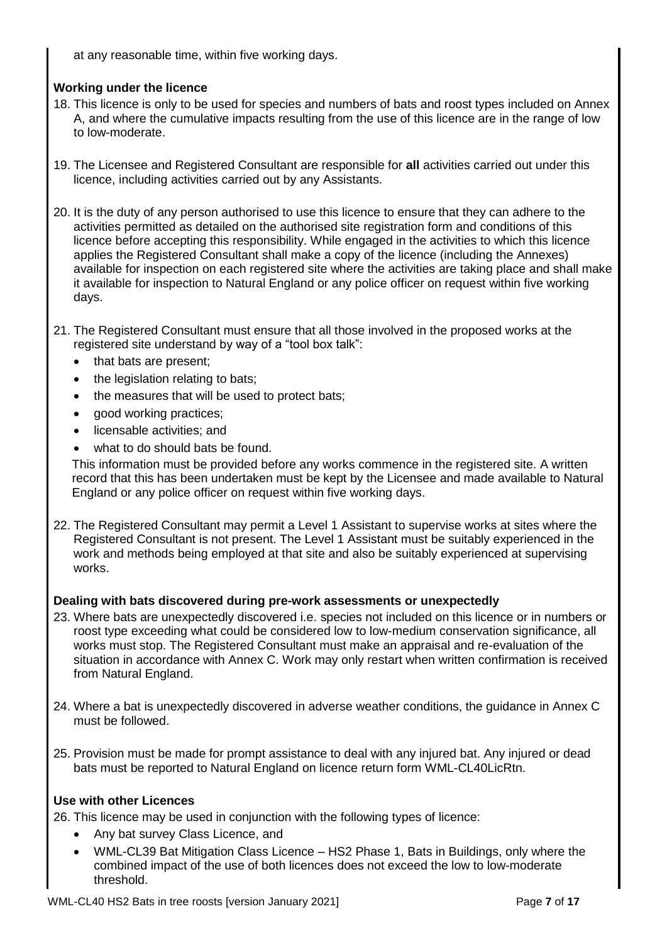at any reasonable time, within five working days.

# **Working under the licence**

- 18. This licence is only to be used for species and numbers of bats and roost types included on Annex A, and where the cumulative impacts resulting from the use of this licence are in the range of low to low-moderate.
- 19. The Licensee and Registered Consultant are responsible for **all** activities carried out under this licence, including activities carried out by any Assistants.
- 20. It is the duty of any person authorised to use this licence to ensure that they can adhere to the activities permitted as detailed on the authorised site registration form and conditions of this licence before accepting this responsibility. While engaged in the activities to which this licence applies the Registered Consultant shall make a copy of the licence (including the Annexes) available for inspection on each registered site where the activities are taking place and shall make it available for inspection to Natural England or any police officer on request within five working days.
- 21. The Registered Consultant must ensure that all those involved in the proposed works at the registered site understand by way of a "tool box talk":
	- that bats are present;
	- the legislation relating to bats;
	- the measures that will be used to protect bats;
	- good working practices;
	- licensable activities; and
	- what to do should bats be found.

This information must be provided before any works commence in the registered site. A written record that this has been undertaken must be kept by the Licensee and made available to Natural England or any police officer on request within five working days.

22. The Registered Consultant may permit a Level 1 Assistant to supervise works at sites where the Registered Consultant is not present. The Level 1 Assistant must be suitably experienced in the work and methods being employed at that site and also be suitably experienced at supervising works.

## **Dealing with bats discovered during pre-work assessments or unexpectedly**

- 23. Where bats are unexpectedly discovered i.e. species not included on this licence or in numbers or roost type exceeding what could be considered low to low-medium conservation significance, all works must stop. The Registered Consultant must make an appraisal and re-evaluation of the situation in accordance with Annex C. Work may only restart when written confirmation is received from Natural England.
- 24. Where a bat is unexpectedly discovered in adverse weather conditions, the guidance in Annex C must be followed.
- 25. Provision must be made for prompt assistance to deal with any injured bat. Any injured or dead bats must be reported to Natural England on licence return form WML-CL40LicRtn.

## **Use with other Licences**

26. This licence may be used in conjunction with the following types of licence:

- Any bat survey Class Licence, and
- WML-CL39 Bat Mitigation Class Licence HS2 Phase 1, Bats in Buildings, only where the combined impact of the use of both licences does not exceed the low to low-moderate threshold.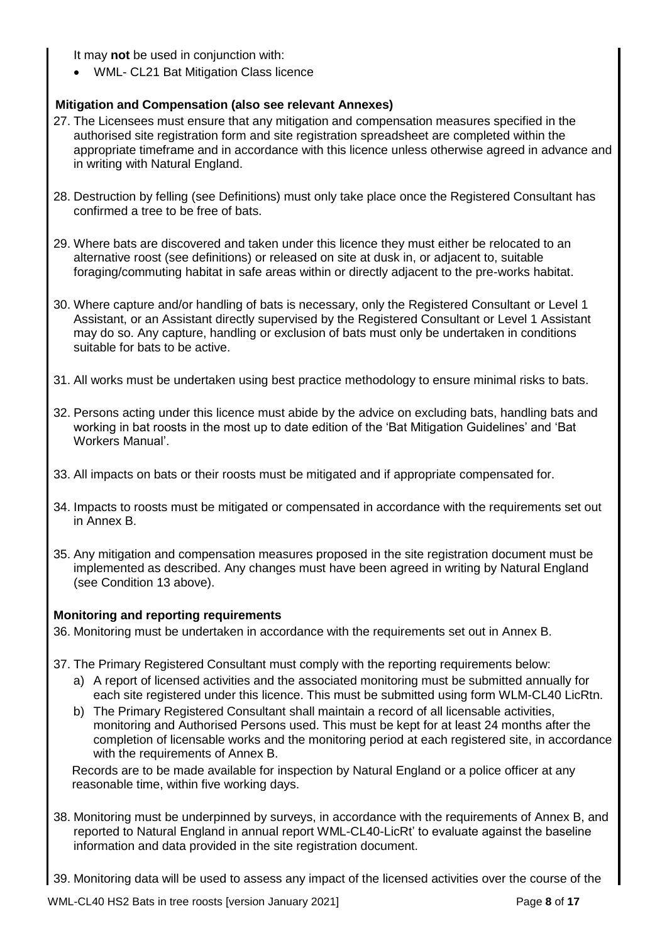It may **not** be used in conjunction with:

• WML- CL21 Bat Mitigation Class licence

# **Mitigation and Compensation (also see relevant Annexes)**

- 27. The Licensees must ensure that any mitigation and compensation measures specified in the authorised site registration form and site registration spreadsheet are completed within the appropriate timeframe and in accordance with this licence unless otherwise agreed in advance and in writing with Natural England.
- 28. Destruction by felling (see Definitions) must only take place once the Registered Consultant has confirmed a tree to be free of bats.
- 29. Where bats are discovered and taken under this licence they must either be relocated to an alternative roost (see definitions) or released on site at dusk in, or adjacent to, suitable foraging/commuting habitat in safe areas within or directly adjacent to the pre-works habitat.
- 30. Where capture and/or handling of bats is necessary, only the Registered Consultant or Level 1 Assistant, or an Assistant directly supervised by the Registered Consultant or Level 1 Assistant may do so. Any capture, handling or exclusion of bats must only be undertaken in conditions suitable for bats to be active.
- 31. All works must be undertaken using best practice methodology to ensure minimal risks to bats.
- 32. Persons acting under this licence must abide by the advice on excluding bats, handling bats and working in bat roosts in the most up to date edition of the 'Bat Mitigation Guidelines' and 'Bat Workers Manual'.
- 33. All impacts on bats or their roosts must be mitigated and if appropriate compensated for.
- 34. Impacts to roosts must be mitigated or compensated in accordance with the requirements set out in Annex B.
- 35. Any mitigation and compensation measures proposed in the site registration document must be implemented as described. Any changes must have been agreed in writing by Natural England (see Condition 13 above).

# **Monitoring and reporting requirements**

36. Monitoring must be undertaken in accordance with the requirements set out in Annex B.

- 37. The Primary Registered Consultant must comply with the reporting requirements below:
	- a) A report of licensed activities and the associated monitoring must be submitted annually for each site registered under this licence. This must be submitted using form WLM-CL40 LicRtn.
	- b) The Primary Registered Consultant shall maintain a record of all licensable activities, monitoring and Authorised Persons used. This must be kept for at least 24 months after the completion of licensable works and the monitoring period at each registered site, in accordance with the requirements of Annex B.

Records are to be made available for inspection by Natural England or a police officer at any reasonable time, within five working days.

38. Monitoring must be underpinned by surveys, in accordance with the requirements of Annex B, and reported to Natural England in annual report WML-CL40-LicRt' to evaluate against the baseline information and data provided in the site registration document.

39. Monitoring data will be used to assess any impact of the licensed activities over the course of the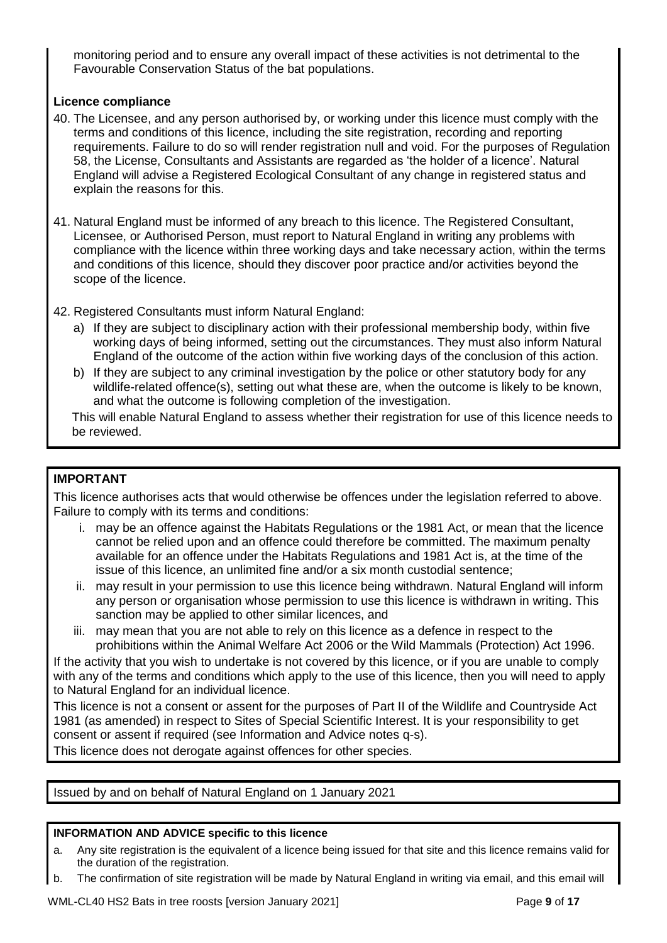monitoring period and to ensure any overall impact of these activities is not detrimental to the Favourable Conservation Status of the bat populations.

## **Licence compliance**

- 40. The Licensee, and any person authorised by, or working under this licence must comply with the terms and conditions of this licence, including the site registration, recording and reporting requirements. Failure to do so will render registration null and void. For the purposes of Regulation 58, the License, Consultants and Assistants are regarded as 'the holder of a licence'. Natural England will advise a Registered Ecological Consultant of any change in registered status and explain the reasons for this.
- 41. Natural England must be informed of any breach to this licence. The Registered Consultant, Licensee, or Authorised Person, must report to Natural England in writing any problems with compliance with the licence within three working days and take necessary action, within the terms and conditions of this licence, should they discover poor practice and/or activities beyond the scope of the licence.
- 42. Registered Consultants must inform Natural England:
	- a) If they are subject to disciplinary action with their professional membership body, within five working days of being informed, setting out the circumstances. They must also inform Natural England of the outcome of the action within five working days of the conclusion of this action.
	- b) If they are subject to any criminal investigation by the police or other statutory body for any wildlife-related offence(s), setting out what these are, when the outcome is likely to be known, and what the outcome is following completion of the investigation.

This will enable Natural England to assess whether their registration for use of this licence needs to be reviewed.

## **IMPORTANT**

This licence authorises acts that would otherwise be offences under the legislation referred to above. Failure to comply with its terms and conditions:

- i. may be an offence against the Habitats Regulations or the 1981 Act, or mean that the licence cannot be relied upon and an offence could therefore be committed. The maximum penalty available for an offence under the Habitats Regulations and 1981 Act is, at the time of the issue of this licence, an unlimited fine and/or a six month custodial sentence;
- ii. may result in your permission to use this licence being withdrawn. Natural England will inform any person or organisation whose permission to use this licence is withdrawn in writing. This sanction may be applied to other similar licences, and
- iii. may mean that you are not able to rely on this licence as a defence in respect to the prohibitions within the Animal Welfare Act 2006 or the Wild Mammals (Protection) Act 1996.

If the activity that you wish to undertake is not covered by this licence, or if you are unable to comply with any of the terms and conditions which apply to the use of this licence, then you will need to apply to Natural England for an individual licence.

This licence is not a consent or assent for the purposes of Part II of the Wildlife and Countryside Act 1981 (as amended) in respect to Sites of Special Scientific Interest. It is your responsibility to get consent or assent if required (see Information and Advice notes q-s).

This licence does not derogate against offences for other species.

Issued by and on behalf of Natural England on 1 January 2021

#### **INFORMATION AND ADVICE specific to this licence**

- a. Any site registration is the equivalent of a licence being issued for that site and this licence remains valid for the duration of the registration.
- b. The confirmation of site registration will be made by Natural England in writing via email, and this email will

WML-CL40 HS2 Bats in tree roosts [version January 2021] Page **9** of **17**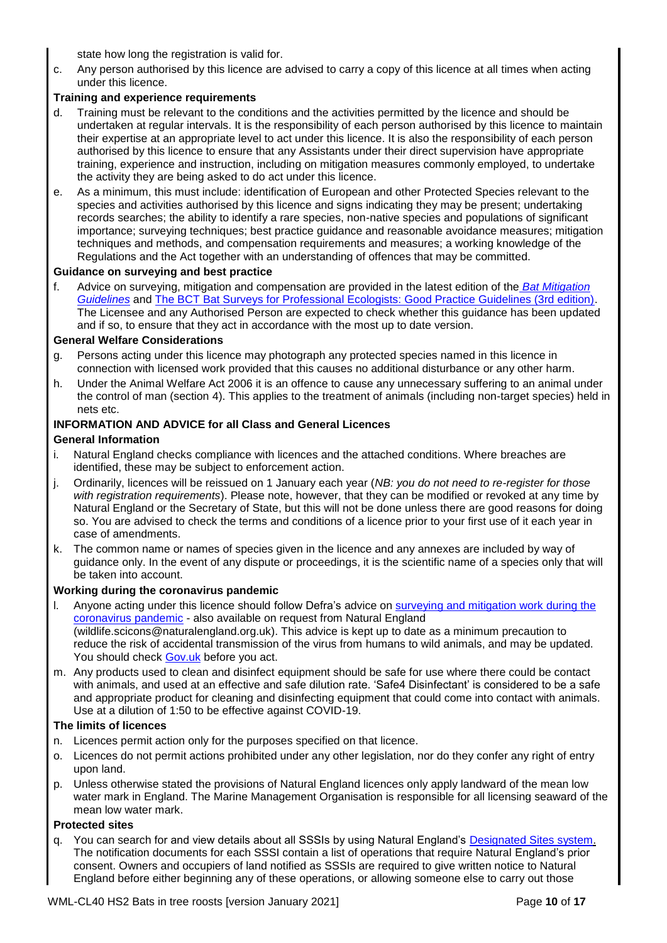state how long the registration is valid for.

c. Any person authorised by this licence are advised to carry a copy of this licence at all times when acting under this licence.

#### **Training and experience requirements**

- Training must be relevant to the conditions and the activities permitted by the licence and should be undertaken at regular intervals. It is the responsibility of each person authorised by this licence to maintain their expertise at an appropriate level to act under this licence. It is also the responsibility of each person authorised by this licence to ensure that any Assistants under their direct supervision have appropriate training, experience and instruction, including on mitigation measures commonly employed, to undertake the activity they are being asked to do act under this licence.
- e. As a minimum, this must include: identification of European and other Protected Species relevant to the species and activities authorised by this licence and signs indicating they may be present; undertaking records searches; the ability to identify a rare species, non-native species and populations of significant importance; surveying techniques; best practice guidance and reasonable avoidance measures; mitigation techniques and methods, and compensation requirements and measures; a working knowledge of the Regulations and the Act together with an understanding of offences that may be committed.

#### **Guidance on surveying and best practice**

f. Advice on surveying, mitigation and compensation are provided in the latest edition of the *[Bat Mitigation](https://www.gov.uk/guidance/bats-surveys-and-mitigation-for-development-projects)  [Guidelines](https://www.gov.uk/guidance/bats-surveys-and-mitigation-for-development-projects)* and [The BCT Bat Surveys for Professional Ecologists: Good Practice Guidelines \(3rd edition\).](http://www.bats.org.uk/pages/batsurveyguide.html) The Licensee and any Authorised Person are expected to check whether this guidance has been updated and if so, to ensure that they act in accordance with the most up to date version.

#### **General Welfare Considerations**

- g. Persons acting under this licence may photograph any protected species named in this licence in connection with licensed work provided that this causes no additional disturbance or any other harm.
- h. Under the Animal Welfare Act 2006 it is an offence to cause any unnecessary suffering to an animal under the control of man (section 4). This applies to the treatment of animals (including non-target species) held in nets etc.

#### **INFORMATION AND ADVICE for all Class and General Licences**

#### **General Information**

- i. Natural England checks compliance with licences and the attached conditions. Where breaches are identified, these may be subject to enforcement action.
- j. Ordinarily, licences will be reissued on 1 January each year (*NB: you do not need to re-register for those with registration requirements*). Please note, however, that they can be modified or revoked at any time by Natural England or the Secretary of State, but this will not be done unless there are good reasons for doing so. You are advised to check the terms and conditions of a licence prior to your first use of it each year in case of amendments.
- k. The common name or names of species given in the licence and any annexes are included by way of guidance only. In the event of any dispute or proceedings, it is the scientific name of a species only that will be taken into account.

#### **Working during the coronavirus pandemic**

- l. Anyone acting under this licence should follow Defra's advice on [surveying and mitigation work during the](https://www.gov.uk/guidance/coronavirus-covid-19-surveying-and-mitigation-works-affecting-wildlife)  [coronavirus pandemic](https://www.gov.uk/guidance/coronavirus-covid-19-surveying-and-mitigation-works-affecting-wildlife) - also available on request from Natural England (wildlife.scicons@naturalengland.org.uk). This advice is kept up to date as a minimum precaution to reduce the risk of accidental transmission of the virus from humans to wild animals, and may be updated. You should check [Gov.uk](https://www.gov.uk/guidance/coronavirus-covid-19-surveying-and-mitigation-works-affecting-wildlife) before you act.
- m. Any products used to clean and disinfect equipment should be safe for use where there could be contact with animals, and used at an effective and safe dilution rate. 'Safe4 Disinfectant' is considered to be a safe and appropriate product for cleaning and disinfecting equipment that could come into contact with animals. Use at a dilution of 1:50 to be effective against COVID-19.

#### **The limits of licences**

- n. Licences permit action only for the purposes specified on that licence.
- o. Licences do not permit actions prohibited under any other legislation, nor do they confer any right of entry upon land.
- p. Unless otherwise stated the provisions of Natural England licences only apply landward of the mean low water mark in England. The Marine Management Organisation is responsible for all licensing seaward of the mean low water mark.

#### **Protected sites**

q. You can search for and view details about all SSSIs by using Natural England's [Designated Sites system.](https://designatedsites.naturalengland.org.uk/SiteSearch.aspx) The notification documents for each SSSI contain a list of operations that require Natural England's prior consent. Owners and occupiers of land notified as SSSIs are required to give written notice to Natural England before either beginning any of these operations, or allowing someone else to carry out those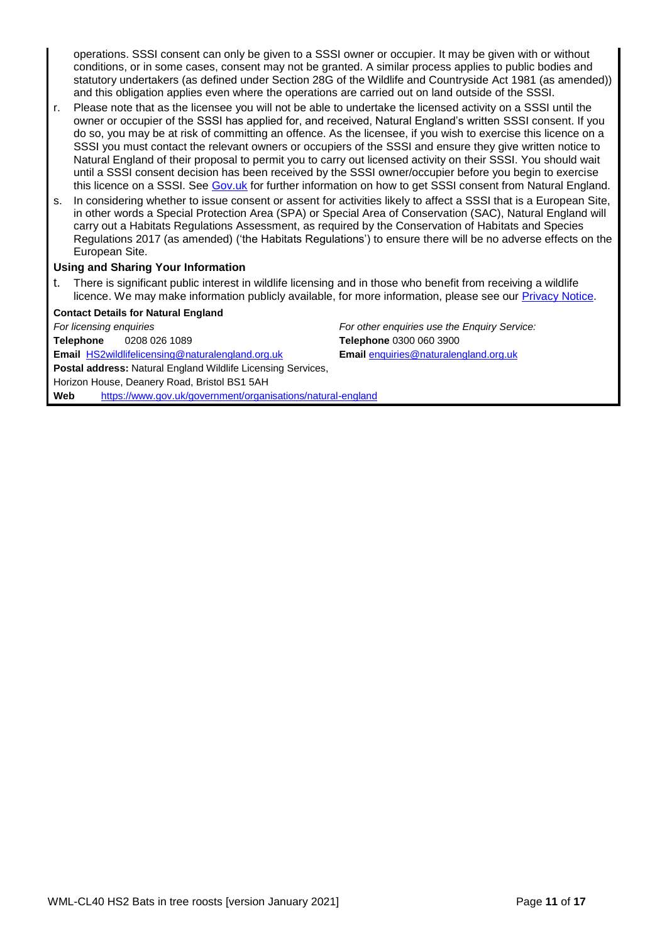operations. SSSI consent can only be given to a SSSI owner or occupier. It may be given with or without conditions, or in some cases, consent may not be granted. A similar process applies to public bodies and statutory undertakers (as defined under Section 28G of the Wildlife and Countryside Act 1981 (as amended)) and this obligation applies even where the operations are carried out on land outside of the SSSI.

- r. Please note that as the licensee you will not be able to undertake the licensed activity on a SSSI until the owner or occupier of the SSSI has applied for, and received, Natural England's written SSSI consent. If you do so, you may be at risk of committing an offence. As the licensee, if you wish to exercise this licence on a SSSI you must contact the relevant owners or occupiers of the SSSI and ensure they give written notice to Natural England of their proposal to permit you to carry out licensed activity on their SSSI. You should wait until a SSSI consent decision has been received by the SSSI owner/occupier before you begin to exercise this licence on a SSSI. See [Gov.uk](https://www.gov.uk/guidance/protected-areas-sites-of-special-scientific-interest) for further information on how to get SSSI consent from Natural England.
- In considering whether to issue consent or assent for activities likely to affect a SSSI that is a European Site, in other words a Special Protection Area (SPA) or Special Area of Conservation (SAC), Natural England will carry out a Habitats Regulations Assessment, as required by the Conservation of Habitats and Species Regulations 2017 (as amended) ('the Habitats Regulations') to ensure there will be no adverse effects on the European Site.

#### **Using and Sharing Your Information**

There is significant public interest in wildlife licensing and in those who benefit from receiving a wildlife licence. We may make information publicly available, for more information, please see our [Privacy Notice.](https://www.gov.uk/government/publications/natural-england-privacy-notices/wildlife-licensing-privacy-notice)

#### **Contact Details for Natural England**

*For licensing enquiries For other enquiries use the Enquiry Service:*  **Telephone** 0208 026 1089 **Telephone** 0300 060 3900 **Email** [HS2wildlifelicensing@naturalengland.org.uk](mailto:HS2wildlifelicensing@naturalengland.org.uk) **Email** [enquiries@naturalengland.org.uk](mailto:enquiries@naturalengland.org.uk) **Postal address:** Natural England Wildlife Licensing Services, Horizon House, Deanery Road, Bristol BS1 5AH **Web** <https://www.gov.uk/government/organisations/natural-england>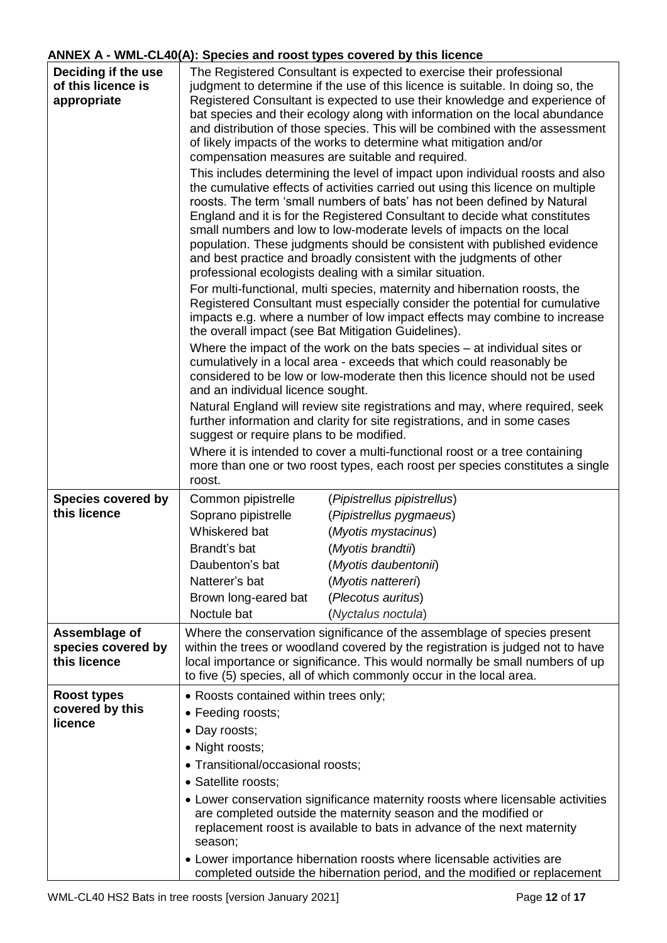# **ANNEX A - WML-CL40(A): Species and roost types covered by this licence**

| Deciding if the use<br>of this licence is<br>appropriate | The Registered Consultant is expected to exercise their professional<br>judgment to determine if the use of this licence is suitable. In doing so, the<br>Registered Consultant is expected to use their knowledge and experience of<br>bat species and their ecology along with information on the local abundance<br>and distribution of those species. This will be combined with the assessment<br>of likely impacts of the works to determine what mitigation and/or<br>compensation measures are suitable and required.<br>This includes determining the level of impact upon individual roosts and also<br>the cumulative effects of activities carried out using this licence on multiple<br>roosts. The term 'small numbers of bats' has not been defined by Natural<br>England and it is for the Registered Consultant to decide what constitutes<br>small numbers and low to low-moderate levels of impacts on the local<br>population. These judgments should be consistent with published evidence<br>and best practice and broadly consistent with the judgments of other<br>professional ecologists dealing with a similar situation.<br>For multi-functional, multi species, maternity and hibernation roosts, the<br>Registered Consultant must especially consider the potential for cumulative<br>impacts e.g. where a number of low impact effects may combine to increase<br>the overall impact (see Bat Mitigation Guidelines).<br>Where the impact of the work on the bats species – at individual sites or<br>cumulatively in a local area - exceeds that which could reasonably be<br>considered to be low or low-moderate then this licence should not be used<br>and an individual licence sought.<br>Natural England will review site registrations and may, where required, seek<br>further information and clarity for site registrations, and in some cases<br>suggest or require plans to be modified.<br>Where it is intended to cover a multi-functional roost or a tree containing<br>more than one or two roost types, each roost per species constitutes a single<br>roost. |  |
|----------------------------------------------------------|------------------------------------------------------------------------------------------------------------------------------------------------------------------------------------------------------------------------------------------------------------------------------------------------------------------------------------------------------------------------------------------------------------------------------------------------------------------------------------------------------------------------------------------------------------------------------------------------------------------------------------------------------------------------------------------------------------------------------------------------------------------------------------------------------------------------------------------------------------------------------------------------------------------------------------------------------------------------------------------------------------------------------------------------------------------------------------------------------------------------------------------------------------------------------------------------------------------------------------------------------------------------------------------------------------------------------------------------------------------------------------------------------------------------------------------------------------------------------------------------------------------------------------------------------------------------------------------------------------------------------------------------------------------------------------------------------------------------------------------------------------------------------------------------------------------------------------------------------------------------------------------------------------------------------------------------------------------------------------------------------------------------------------------------------------------------------------------------------------------|--|
| <b>Species covered by</b><br>this licence                | Common pipistrelle<br>(Pipistrellus pipistrellus)<br>Soprano pipistrelle<br>(Pipistrellus pygmaeus)                                                                                                                                                                                                                                                                                                                                                                                                                                                                                                                                                                                                                                                                                                                                                                                                                                                                                                                                                                                                                                                                                                                                                                                                                                                                                                                                                                                                                                                                                                                                                                                                                                                                                                                                                                                                                                                                                                                                                                                                              |  |
|                                                          | Whiskered bat<br>(Myotis mystacinus)                                                                                                                                                                                                                                                                                                                                                                                                                                                                                                                                                                                                                                                                                                                                                                                                                                                                                                                                                                                                                                                                                                                                                                                                                                                                                                                                                                                                                                                                                                                                                                                                                                                                                                                                                                                                                                                                                                                                                                                                                                                                             |  |
|                                                          | Brandt's bat<br>(Myotis brandtii)                                                                                                                                                                                                                                                                                                                                                                                                                                                                                                                                                                                                                                                                                                                                                                                                                                                                                                                                                                                                                                                                                                                                                                                                                                                                                                                                                                                                                                                                                                                                                                                                                                                                                                                                                                                                                                                                                                                                                                                                                                                                                |  |
|                                                          | (Myotis daubentonii)<br>Daubenton's bat                                                                                                                                                                                                                                                                                                                                                                                                                                                                                                                                                                                                                                                                                                                                                                                                                                                                                                                                                                                                                                                                                                                                                                                                                                                                                                                                                                                                                                                                                                                                                                                                                                                                                                                                                                                                                                                                                                                                                                                                                                                                          |  |
|                                                          | Natterer's bat<br>(Myotis nattereri)                                                                                                                                                                                                                                                                                                                                                                                                                                                                                                                                                                                                                                                                                                                                                                                                                                                                                                                                                                                                                                                                                                                                                                                                                                                                                                                                                                                                                                                                                                                                                                                                                                                                                                                                                                                                                                                                                                                                                                                                                                                                             |  |
|                                                          | (Plecotus auritus)<br>Brown long-eared bat                                                                                                                                                                                                                                                                                                                                                                                                                                                                                                                                                                                                                                                                                                                                                                                                                                                                                                                                                                                                                                                                                                                                                                                                                                                                                                                                                                                                                                                                                                                                                                                                                                                                                                                                                                                                                                                                                                                                                                                                                                                                       |  |
|                                                          | Noctule bat<br>(Nyctalus noctula)                                                                                                                                                                                                                                                                                                                                                                                                                                                                                                                                                                                                                                                                                                                                                                                                                                                                                                                                                                                                                                                                                                                                                                                                                                                                                                                                                                                                                                                                                                                                                                                                                                                                                                                                                                                                                                                                                                                                                                                                                                                                                |  |
| Assemblage of<br>species covered by<br>this licence      | Where the conservation significance of the assemblage of species present<br>within the trees or woodland covered by the registration is judged not to have<br>local importance or significance. This would normally be small numbers of up<br>to five (5) species, all of which commonly occur in the local area.                                                                                                                                                                                                                                                                                                                                                                                                                                                                                                                                                                                                                                                                                                                                                                                                                                                                                                                                                                                                                                                                                                                                                                                                                                                                                                                                                                                                                                                                                                                                                                                                                                                                                                                                                                                                |  |
| <b>Roost types</b>                                       | • Roosts contained within trees only;                                                                                                                                                                                                                                                                                                                                                                                                                                                                                                                                                                                                                                                                                                                                                                                                                                                                                                                                                                                                                                                                                                                                                                                                                                                                                                                                                                                                                                                                                                                                                                                                                                                                                                                                                                                                                                                                                                                                                                                                                                                                            |  |
| covered by this                                          | • Feeding roosts;                                                                                                                                                                                                                                                                                                                                                                                                                                                                                                                                                                                                                                                                                                                                                                                                                                                                                                                                                                                                                                                                                                                                                                                                                                                                                                                                                                                                                                                                                                                                                                                                                                                                                                                                                                                                                                                                                                                                                                                                                                                                                                |  |
| licence                                                  | • Day roosts;                                                                                                                                                                                                                                                                                                                                                                                                                                                                                                                                                                                                                                                                                                                                                                                                                                                                                                                                                                                                                                                                                                                                                                                                                                                                                                                                                                                                                                                                                                                                                                                                                                                                                                                                                                                                                                                                                                                                                                                                                                                                                                    |  |
|                                                          | • Night roosts;                                                                                                                                                                                                                                                                                                                                                                                                                                                                                                                                                                                                                                                                                                                                                                                                                                                                                                                                                                                                                                                                                                                                                                                                                                                                                                                                                                                                                                                                                                                                                                                                                                                                                                                                                                                                                                                                                                                                                                                                                                                                                                  |  |
|                                                          | • Transitional/occasional roosts;                                                                                                                                                                                                                                                                                                                                                                                                                                                                                                                                                                                                                                                                                                                                                                                                                                                                                                                                                                                                                                                                                                                                                                                                                                                                                                                                                                                                                                                                                                                                                                                                                                                                                                                                                                                                                                                                                                                                                                                                                                                                                |  |
|                                                          | • Satellite roosts;                                                                                                                                                                                                                                                                                                                                                                                                                                                                                                                                                                                                                                                                                                                                                                                                                                                                                                                                                                                                                                                                                                                                                                                                                                                                                                                                                                                                                                                                                                                                                                                                                                                                                                                                                                                                                                                                                                                                                                                                                                                                                              |  |
|                                                          | • Lower conservation significance maternity roosts where licensable activities<br>are completed outside the maternity season and the modified or<br>replacement roost is available to bats in advance of the next maternity<br>season;                                                                                                                                                                                                                                                                                                                                                                                                                                                                                                                                                                                                                                                                                                                                                                                                                                                                                                                                                                                                                                                                                                                                                                                                                                                                                                                                                                                                                                                                                                                                                                                                                                                                                                                                                                                                                                                                           |  |
|                                                          | • Lower importance hibernation roosts where licensable activities are<br>completed outside the hibernation period, and the modified or replacement                                                                                                                                                                                                                                                                                                                                                                                                                                                                                                                                                                                                                                                                                                                                                                                                                                                                                                                                                                                                                                                                                                                                                                                                                                                                                                                                                                                                                                                                                                                                                                                                                                                                                                                                                                                                                                                                                                                                                               |  |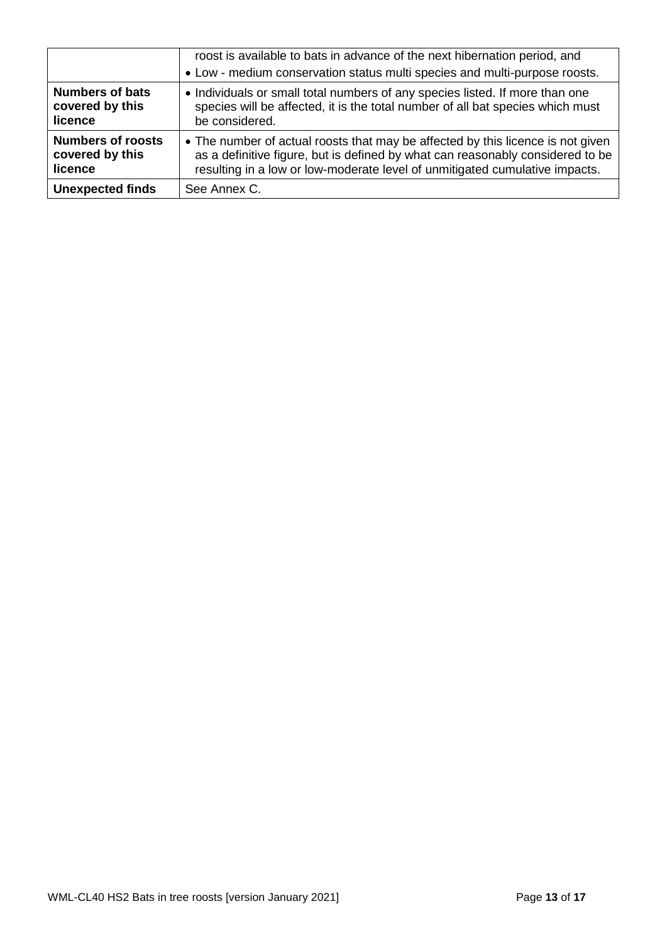|                          | roost is available to bats in advance of the next hibernation period, and<br>• Low - medium conservation status multi species and multi-purpose roosts. |
|--------------------------|---------------------------------------------------------------------------------------------------------------------------------------------------------|
| <b>Numbers of bats</b>   | • Individuals or small total numbers of any species listed. If more than one                                                                            |
| covered by this          | species will be affected, it is the total number of all bat species which must                                                                          |
| licence                  | be considered.                                                                                                                                          |
| <b>Numbers of roosts</b> | • The number of actual roosts that may be affected by this licence is not given                                                                         |
| covered by this          | as a definitive figure, but is defined by what can reasonably considered to be                                                                          |
| licence                  | resulting in a low or low-moderate level of unmitigated cumulative impacts.                                                                             |
| <b>Unexpected finds</b>  | See Annex C.                                                                                                                                            |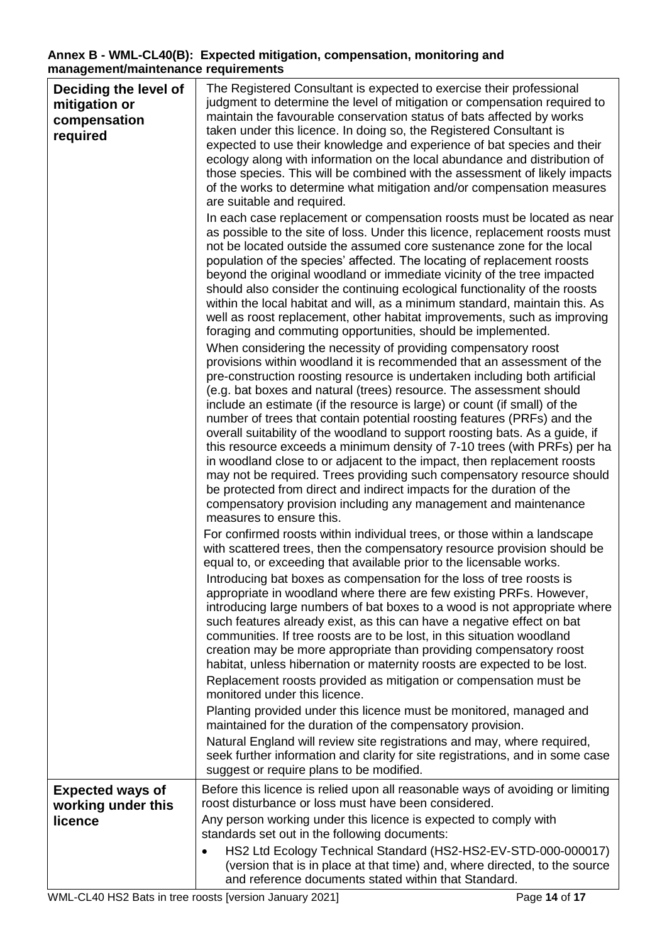## **Annex B - WML-CL40(B): Expected mitigation, compensation, monitoring and management/maintenance requirements**

| Deciding the level of<br>mitigation or<br>compensation<br>required | The Registered Consultant is expected to exercise their professional<br>judgment to determine the level of mitigation or compensation required to<br>maintain the favourable conservation status of bats affected by works<br>taken under this licence. In doing so, the Registered Consultant is<br>expected to use their knowledge and experience of bat species and their<br>ecology along with information on the local abundance and distribution of<br>those species. This will be combined with the assessment of likely impacts<br>of the works to determine what mitigation and/or compensation measures<br>are suitable and required.<br>In each case replacement or compensation roosts must be located as near<br>as possible to the site of loss. Under this licence, replacement roosts must                                                                                                                                                                                                 |
|--------------------------------------------------------------------|------------------------------------------------------------------------------------------------------------------------------------------------------------------------------------------------------------------------------------------------------------------------------------------------------------------------------------------------------------------------------------------------------------------------------------------------------------------------------------------------------------------------------------------------------------------------------------------------------------------------------------------------------------------------------------------------------------------------------------------------------------------------------------------------------------------------------------------------------------------------------------------------------------------------------------------------------------------------------------------------------------|
|                                                                    | not be located outside the assumed core sustenance zone for the local<br>population of the species' affected. The locating of replacement roosts<br>beyond the original woodland or immediate vicinity of the tree impacted<br>should also consider the continuing ecological functionality of the roosts<br>within the local habitat and will, as a minimum standard, maintain this. As<br>well as roost replacement, other habitat improvements, such as improving<br>foraging and commuting opportunities, should be implemented.                                                                                                                                                                                                                                                                                                                                                                                                                                                                       |
|                                                                    | When considering the necessity of providing compensatory roost<br>provisions within woodland it is recommended that an assessment of the<br>pre-construction roosting resource is undertaken including both artificial<br>(e.g. bat boxes and natural (trees) resource. The assessment should<br>include an estimate (if the resource is large) or count (if small) of the<br>number of trees that contain potential roosting features (PRFs) and the<br>overall suitability of the woodland to support roosting bats. As a guide, if<br>this resource exceeds a minimum density of 7-10 trees (with PRFs) per ha<br>in woodland close to or adjacent to the impact, then replacement roosts<br>may not be required. Trees providing such compensatory resource should<br>be protected from direct and indirect impacts for the duration of the<br>compensatory provision including any management and maintenance<br>measures to ensure this.                                                             |
|                                                                    | For confirmed roosts within individual trees, or those within a landscape<br>with scattered trees, then the compensatory resource provision should be<br>equal to, or exceeding that available prior to the licensable works.<br>Introducing bat boxes as compensation for the loss of tree roosts is<br>appropriate in woodland where there are few existing PRFs. However,<br>introducing large numbers of bat boxes to a wood is not appropriate where<br>such features already exist, as this can have a negative effect on bat<br>communities. If tree roosts are to be lost, in this situation woodland<br>creation may be more appropriate than providing compensatory roost<br>habitat, unless hibernation or maternity roosts are expected to be lost.<br>Replacement roosts provided as mitigation or compensation must be<br>monitored under this licence.<br>Planting provided under this licence must be monitored, managed and<br>maintained for the duration of the compensatory provision. |
|                                                                    | Natural England will review site registrations and may, where required,<br>seek further information and clarity for site registrations, and in some case<br>suggest or require plans to be modified.                                                                                                                                                                                                                                                                                                                                                                                                                                                                                                                                                                                                                                                                                                                                                                                                       |
| <b>Expected ways of</b><br>working under this<br>licence           | Before this licence is relied upon all reasonable ways of avoiding or limiting<br>roost disturbance or loss must have been considered.<br>Any person working under this licence is expected to comply with<br>standards set out in the following documents:<br>HS2 Ltd Ecology Technical Standard (HS2-HS2-EV-STD-000-000017)                                                                                                                                                                                                                                                                                                                                                                                                                                                                                                                                                                                                                                                                              |
|                                                                    | (version that is in place at that time) and, where directed, to the source<br>and reference documents stated within that Standard.<br>WMLCL40 HC2 Rete in tree reests fuereign, Jonuary 20241<br>DoseAAA                                                                                                                                                                                                                                                                                                                                                                                                                                                                                                                                                                                                                                                                                                                                                                                                   |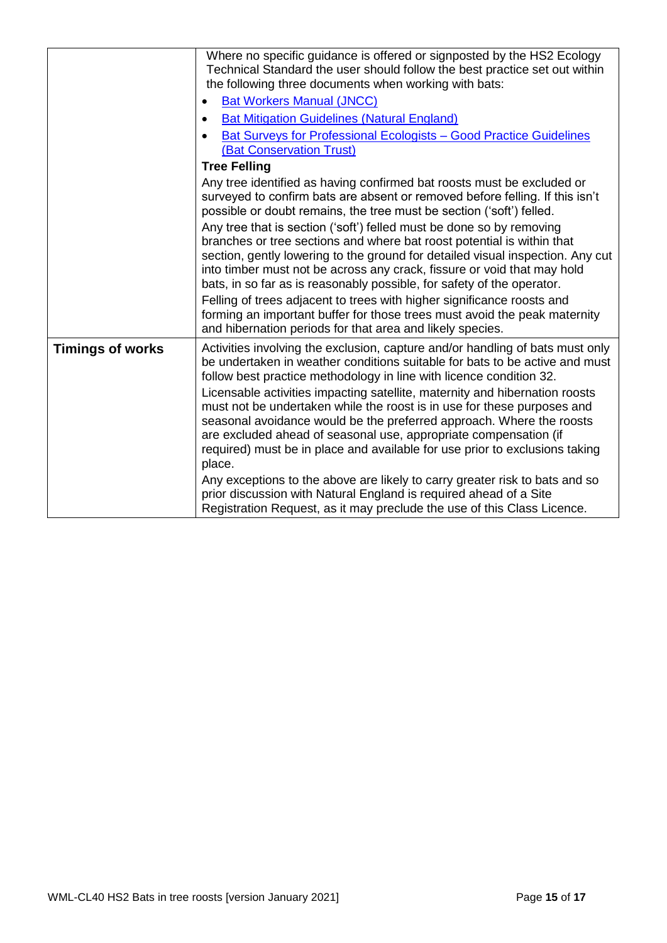|                         | Where no specific guidance is offered or signposted by the HS2 Ecology<br>Technical Standard the user should follow the best practice set out within<br>the following three documents when working with bats:<br><b>Bat Workers Manual (JNCC)</b><br><b>Bat Mitigation Guidelines (Natural England)</b><br>$\bullet$<br>Bat Surveys for Professional Ecologists - Good Practice Guidelines<br>(Bat Conservation Trust)                                                                                                                                                                                                             |
|-------------------------|------------------------------------------------------------------------------------------------------------------------------------------------------------------------------------------------------------------------------------------------------------------------------------------------------------------------------------------------------------------------------------------------------------------------------------------------------------------------------------------------------------------------------------------------------------------------------------------------------------------------------------|
|                         | <b>Tree Felling</b><br>Any tree identified as having confirmed bat roosts must be excluded or<br>surveyed to confirm bats are absent or removed before felling. If this isn't<br>possible or doubt remains, the tree must be section ('soft') felled.                                                                                                                                                                                                                                                                                                                                                                              |
|                         | Any tree that is section ('soft') felled must be done so by removing<br>branches or tree sections and where bat roost potential is within that<br>section, gently lowering to the ground for detailed visual inspection. Any cut<br>into timber must not be across any crack, fissure or void that may hold<br>bats, in so far as is reasonably possible, for safety of the operator.                                                                                                                                                                                                                                              |
|                         | Felling of trees adjacent to trees with higher significance roosts and<br>forming an important buffer for those trees must avoid the peak maternity<br>and hibernation periods for that area and likely species.                                                                                                                                                                                                                                                                                                                                                                                                                   |
| <b>Timings of works</b> | Activities involving the exclusion, capture and/or handling of bats must only<br>be undertaken in weather conditions suitable for bats to be active and must<br>follow best practice methodology in line with licence condition 32.<br>Licensable activities impacting satellite, maternity and hibernation roosts<br>must not be undertaken while the roost is in use for these purposes and<br>seasonal avoidance would be the preferred approach. Where the roosts<br>are excluded ahead of seasonal use, appropriate compensation (if<br>required) must be in place and available for use prior to exclusions taking<br>place. |
|                         | Any exceptions to the above are likely to carry greater risk to bats and so<br>prior discussion with Natural England is required ahead of a Site<br>Registration Request, as it may preclude the use of this Class Licence.                                                                                                                                                                                                                                                                                                                                                                                                        |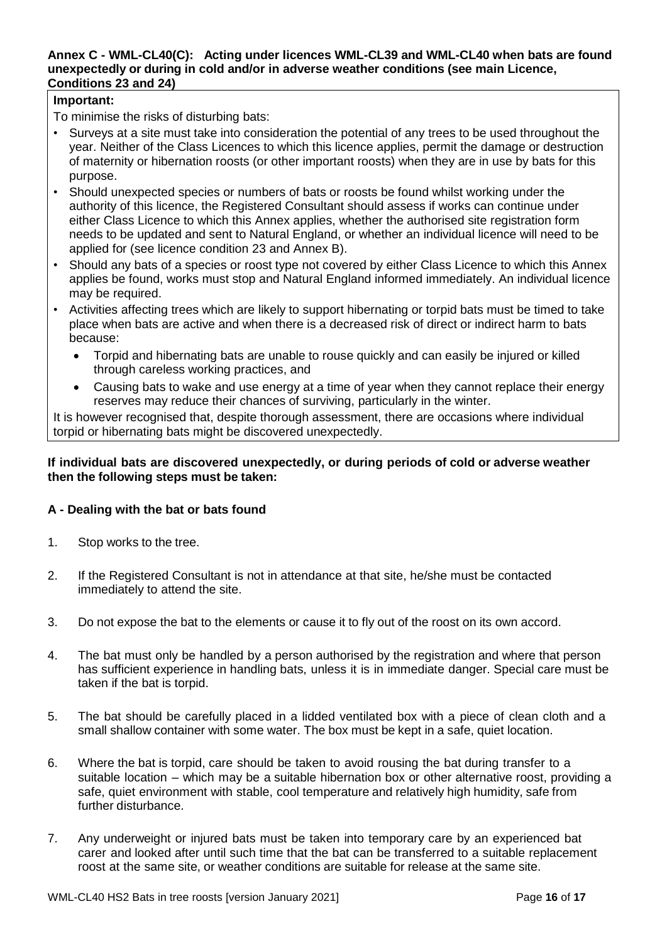#### **Annex C - WML-CL40(C): Acting under licences WML-CL39 and WML-CL40 when bats are found unexpectedly or during in cold and/or in adverse weather conditions (see main Licence, Conditions 23 and 24)**

## **Important:**

To minimise the risks of disturbing bats:

- Surveys at a site must take into consideration the potential of any trees to be used throughout the year. Neither of the Class Licences to which this licence applies, permit the damage or destruction of maternity or hibernation roosts (or other important roosts) when they are in use by bats for this purpose.
- Should unexpected species or numbers of bats or roosts be found whilst working under the authority of this licence, the Registered Consultant should assess if works can continue under either Class Licence to which this Annex applies, whether the authorised site registration form needs to be updated and sent to Natural England, or whether an individual licence will need to be applied for (see licence condition 23 and Annex B).
- Should any bats of a species or roost type not covered by either Class Licence to which this Annex applies be found, works must stop and Natural England informed immediately. An individual licence may be required.
- Activities affecting trees which are likely to support hibernating or torpid bats must be timed to take place when bats are active and when there is a decreased risk of direct or indirect harm to bats because:
	- Torpid and hibernating bats are unable to rouse quickly and can easily be injured or killed through careless working practices, and
	- Causing bats to wake and use energy at a time of year when they cannot replace their energy reserves may reduce their chances of surviving, particularly in the winter.

It is however recognised that, despite thorough assessment, there are occasions where individual torpid or hibernating bats might be discovered unexpectedly.

## **If individual bats are discovered unexpectedly, or during periods of cold or adverse weather then the following steps must be taken:**

## **A - Dealing with the bat or bats found**

- 1. Stop works to the tree.
- 2. If the Registered Consultant is not in attendance at that site, he/she must be contacted immediately to attend the site.
- 3. Do not expose the bat to the elements or cause it to fly out of the roost on its own accord.
- 4. The bat must only be handled by a person authorised by the registration and where that person has sufficient experience in handling bats, unless it is in immediate danger. Special care must be taken if the bat is torpid.
- 5. The bat should be carefully placed in a lidded ventilated box with a piece of clean cloth and a small shallow container with some water. The box must be kept in a safe, quiet location.
- 6. Where the bat is torpid, care should be taken to avoid rousing the bat during transfer to a suitable location – which may be a suitable hibernation box or other alternative roost, providing a safe, quiet environment with stable, cool temperature and relatively high humidity, safe from further disturbance.
- 7. Any underweight or injured bats must be taken into temporary care by an experienced bat carer and looked after until such time that the bat can be transferred to a suitable replacement roost at the same site, or weather conditions are suitable for release at the same site.